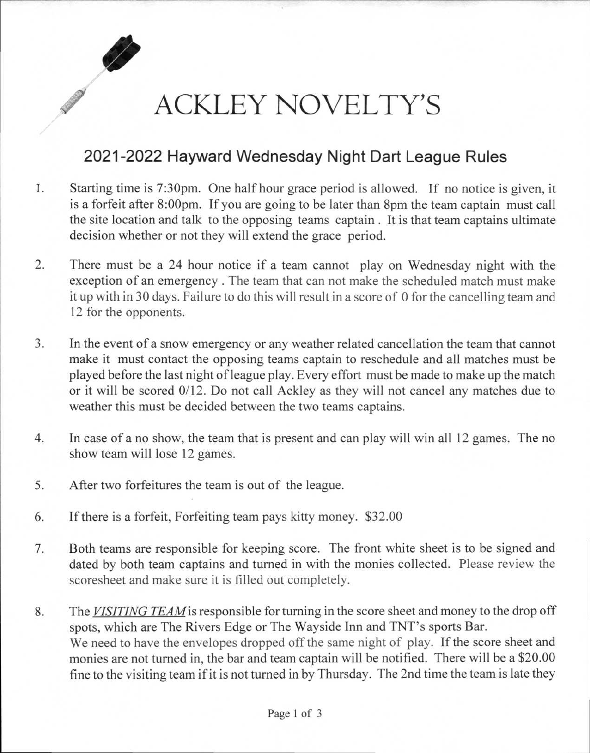

## ACKLEY NOVELTY'S

## **2021-2022 Hayward Wednesday Night Dart League Rules**

- I. Starting time is 7:30pm. One half hour grace period is allowed. If no notice is given, it is a forfeit after 8:00pm. If you are going to be later than 8pm the team captain must call the site location and talk to the opposing teams captain . It is that team captains ultimate decision whether or not they will extend the grace period.
- 2. There must be a 24 hour notice if a team cannot play on Wednesday night with the exception of an emergency . The team that can not make the scheduled match must make it up with in 30 days. Failure to do this will result in a score of 0 for the cancelling team and 12 for the opponents.
- 3. In the event of a snow emergency or any weather related cancellation the team that cannot make it must contact the opposing teams captain to reschedule and all matches must be played before the last night of league play. Every effort must be made to make up the match or it will be scored 0/12. Do not call Ackley as they will not cancel any matches due to weather this must be decided between the two teams captains.
- 4. In case of a no show, the team that is present and can play will win all 12 games. The no show team will lose 12 games.
- 5. After two forfeitures the team is out of the league.
- 6. If there is a forfeit, Forfeiting team pays kitty money. \$32.00
- 7. Both teams are responsible for keeping score. The front white sheet is to be signed and dated by both team captains and turned in with the monies collected. Please review the scoresheet and make sure it is filled out completely.
- 8. The *VISITING TEAMis* responsible for turning in the score sheet and money to the drop off spots, which are The Rivers Edge or The Wayside Inn and TNT's sports Bar. We need to have the envelopes dropped off the same night of play. If the score sheet and monies are not turned in, the bar and team captain will be notified. There will be a \$20.00 fine to the visiting team if it is not turned in by Thursday. The 2nd time the team is late they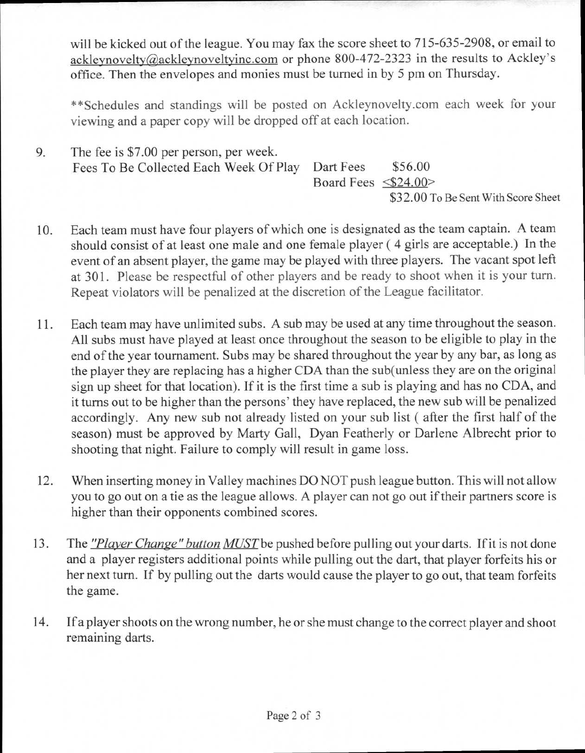will be kicked out of the league. You may fax the score sheet to 715-635-2908, or email to ackleynovelty@ackleynoveltyinc.com or phone 800-472-2323 in the results to Ackley's office. Then the envelopes and monies must be turned in by 5 pm on Thursday.

\*\*Schedules and standings will be posted on Ackleynovelty.com each week for your viewing and a paper copy will be dropped off at each location.

9. The fee is \$7.00 per person, per week. Fees To Be Collected Each Week Of Play Dart Fees \$56.00 Board Fees <\$24.00>

- 10. Each team must have four players of which one is designated as the team captain. A team should consist of at least one male and one female player ( 4 girls are acceptable.) In the event of an absent player, the game may be played with three players. The vacant spot left at 301. Please be respectful of other players and be ready to shoot when it is your turn. Repeat violators will be penalized at the discretion of the League facilitator.
- 11. Each team may have unlimited subs. A sub may be used at any time throughout the season. All subs must have played at least once throughout the season to be eligible to play in the end of the year tournament. Subs may be shared throughout the year by any bar, as long as the player they are replacing has a higher CDA than the sub(unless they are on the original sign up sheet for that location). If it is the first time a sub is playing and has no CDA, and it turns out to be higher than the persons' they have replaced, the new sub will be penalized accordingly. Any new sub not already listed on your sub list ( after the first half of the season) must be approved by Marty Gall, Dyan Featherly or Darlene Albrecht prior to shooting that night. Failure to comply will result in game loss.
- 12. When inserting money in Valley machines DO NOT push league button. This will not allow you to go out on a tie as the league allows. A player can not go out if their partners score is higher than their opponents combined scores.
- 13. The *"Player Change" button MUSTbe* pushed before pulling out your darts. If it is not done and a player registers additional points while pulling out the dart, that player forfeits his or her next turn. If by pulling out the darts would cause the player to go out, that team forfeits the game.
- 14. If a player shoots on the wrong number, he or she must change to the correct player and shoot remaining darts.

<sup>\$32.00</sup> To Be Sent With Score Sheet